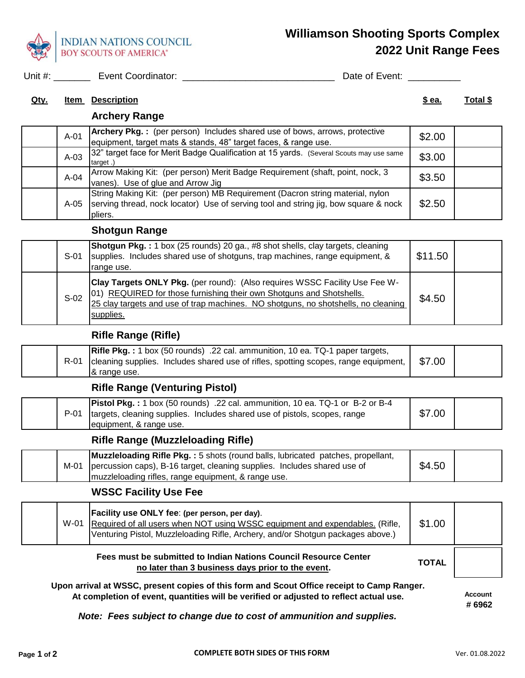

# **Williamson Shooting Sports Complex 2022 Unit Range Fees**

Unit #: \_\_\_\_\_\_\_ Event Coordinator: \_\_\_\_\_\_\_\_\_\_\_\_\_\_\_\_\_\_\_\_\_\_\_\_\_\_\_\_\_ Date of Event: \_\_\_\_\_\_\_\_\_\_

#### **Qty. Item Description \$ ea. Total \$**

# **Archery Range**

| $A-01$ | Archery Pkg.: (per person) Includes shared use of bows, arrows, protective<br>equipment, target mats & stands, 48" target faces, & range use.                                   | \$2.00 |  |
|--------|---------------------------------------------------------------------------------------------------------------------------------------------------------------------------------|--------|--|
| $A-03$ | 32" target face for Merit Badge Qualification at 15 yards. (Several Scouts may use same<br>target.                                                                              | \$3.00 |  |
| $A-04$ | Arrow Making Kit: (per person) Merit Badge Requirement (shaft, point, nock, 3<br>vanes). Use of glue and Arrow Jig                                                              | \$3.50 |  |
| A-05   | String Making Kit: (per person) MB Requirement (Dacron string material, nylon<br>serving thread, nock locator) Use of serving tool and string jig, bow square & nock<br>pliers. | \$2.50 |  |

# **Shotgun Range**

| $S-01$ | <b>Shotgun Pkg.:</b> 1 box (25 rounds) 20 ga., #8 shot shells, clay targets, cleaning<br>supplies. Includes shared use of shotguns, trap machines, range equipment, &<br>range use.                                                                   | \$11.50 |  |
|--------|-------------------------------------------------------------------------------------------------------------------------------------------------------------------------------------------------------------------------------------------------------|---------|--|
| $S-02$ | Clay Targets ONLY Pkg. (per round): (Also requires WSSC Facility Use Fee W-<br>01) REQUIRED for those furnishing their own Shotguns and Shotshells.<br>25 clay targets and use of trap machines. NO shotguns, no shotshells, no cleaning<br>supplies. | \$4.50  |  |

# **Rifle Range (Rifle)**

|  | <b>Rifle Pkg.:</b> 1 box (50 rounds) .22 cal. ammunition, 10 ea. TQ-1 paper targets,<br>R-01 cleaning supplies. Includes shared use of rifles, spotting scopes, range equipment,<br>8 range use. | \$7.00 |  |
|--|--------------------------------------------------------------------------------------------------------------------------------------------------------------------------------------------------|--------|--|
|--|--------------------------------------------------------------------------------------------------------------------------------------------------------------------------------------------------|--------|--|

# **Rifle Range (Venturing Pistol)**

# **Rifle Range (Muzzleloading Rifle)**

|  | <b>Muzzleloading Rifle Pkg.: 5 shots (round balls, lubricated patches, propellant,</b><br>M-01 percussion caps), B-16 target, cleaning supplies. Includes shared use of | \$4.50 |  |
|--|-------------------------------------------------------------------------------------------------------------------------------------------------------------------------|--------|--|
|  | Imuzzleloading rifles, range equipment, & range use.                                                                                                                    |        |  |

# **WSSC Facility Use Fee**

| W-01 | Facility use ONLY fee: (per person, per day).<br>Required of all users when NOT using WSSC equipment and expendables. (Rifle,<br>Venturing Pistol, Muzzleloading Rifle, Archery, and/or Shotgun packages above.) | \$1.00 |  |
|------|------------------------------------------------------------------------------------------------------------------------------------------------------------------------------------------------------------------|--------|--|
|      |                                                                                                                                                                                                                  |        |  |

#### **Fees must be submitted to Indian Nations Council Resource Center no later than 3 business days prior to the event.**

**Upon arrival at WSSC, present copies of this form and Scout Office receipt to Camp Ranger.** At completion of event, quantities will be verified or adjusted to reflect actual use. **Account** 

 **# 6962**

**TOTAL**

*Note: Fees subject to change due to cost of ammunition and supplies.*